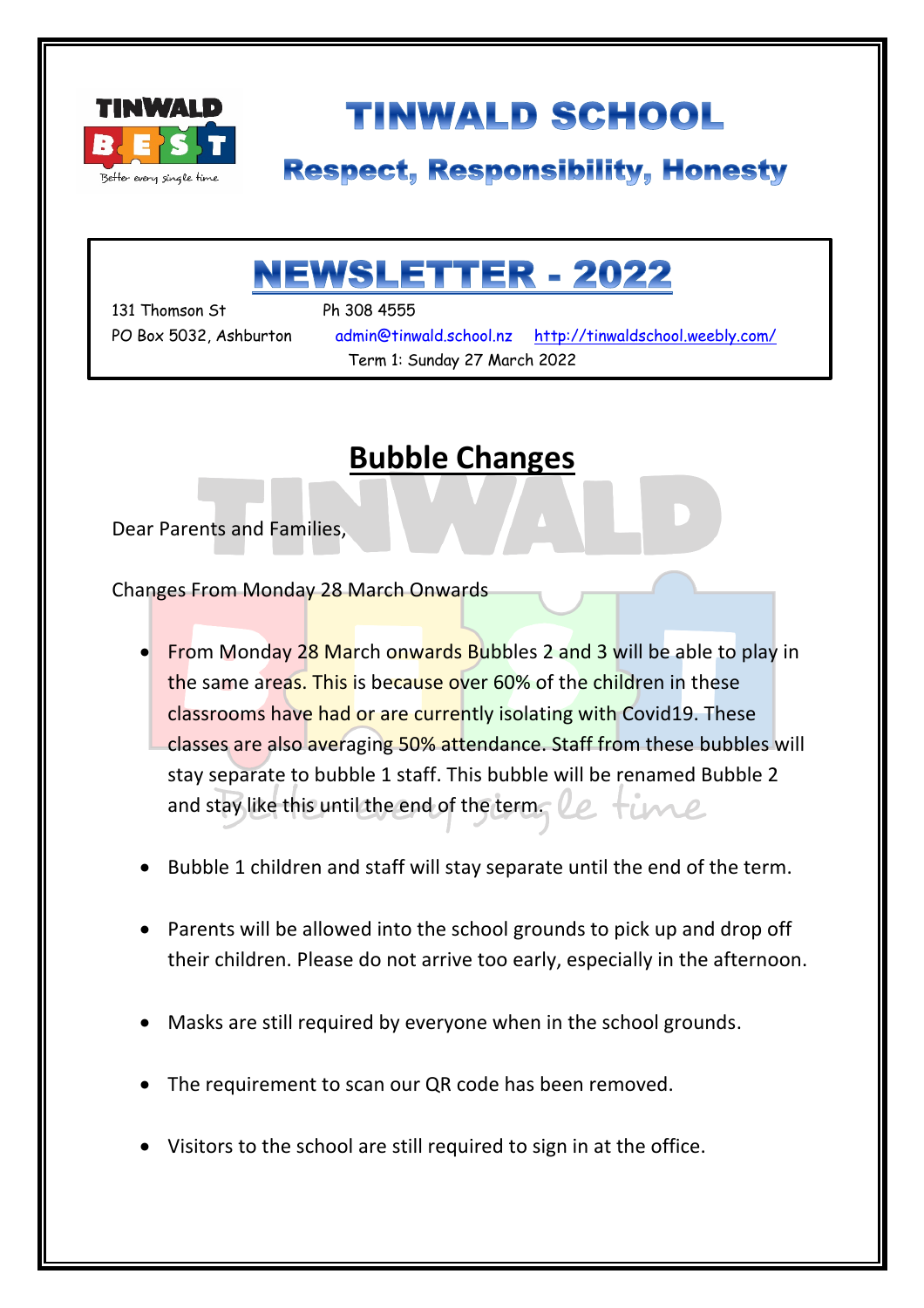

# **TINWALD SCHOOL**

## **Respect, Responsibility, Honesty**

# **NEWSLETTER - 2022**

131 Thomson St Ph 308 4555

۱

PO Box 5032, Ashburton admin@tinwald.school.nz http://tinwaldschool.weebly.com/ Term 1: Sunday 27 March 2022

## **Bubble Changes**

Dear Parents and Families,

Changes From Monday 28 March Onwards

- From Monday 28 March onwards Bubbles 2 and 3 will be able to play in the same areas. This is because over 60% of the children in these classrooms have had or are currently isolating with Covid19. These classes are also averaging 50% attendance. Staff from these bubbles will stay separate to bubble 1 staff. This bubble will be renamed Bubble 2 and stay like this until the end of the term. Imp
- Bubble 1 children and staff will stay separate until the end of the term.
- Parents will be allowed into the school grounds to pick up and drop off their children. Please do not arrive too early, especially in the afternoon.
- Masks are still required by everyone when in the school grounds.
- The requirement to scan our QR code has been removed.
- Visitors to the school are still required to sign in at the office.